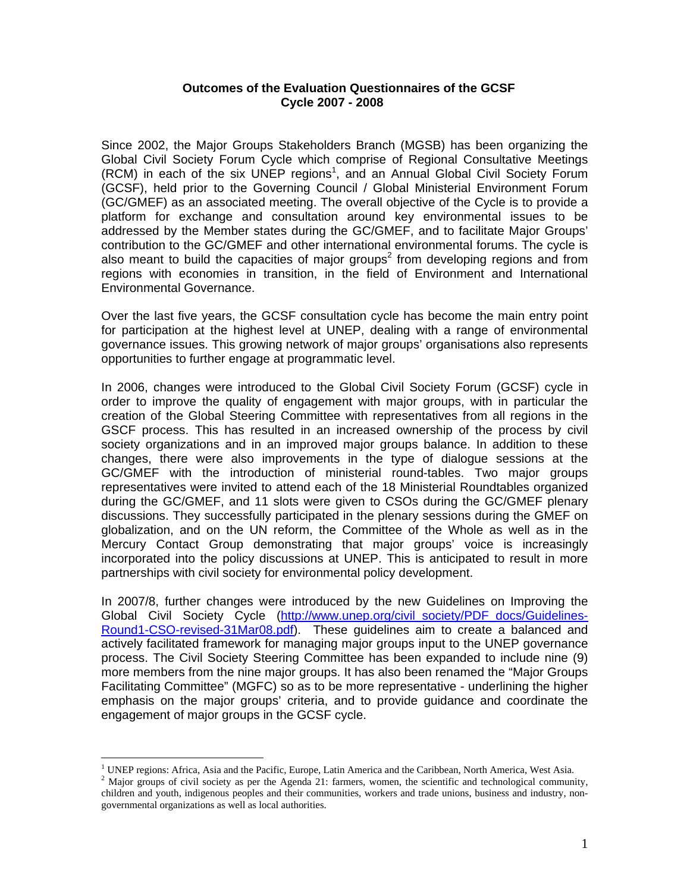### **Outcomes of the Evaluation Questionnaires of the GCSF Cycle 2007 - 2008**

Since 2002, the Major Groups Stakeholders Branch (MGSB) has been organizing the Global Civil Society Forum Cycle which comprise of Regional Consultative Meetings (RCM) in each of the six UNEP regions<sup>1</sup>, and an Annual Global Civil Society Forum (GCSF), held prior to the Governing Council / Global Ministerial Environment Forum (GC/GMEF) as an associated meeting. The overall objective of the Cycle is to provide a platform for exchange and consultation around key environmental issues to be addressed by the Member states during the GC/GMEF, and to facilitate Major Groups' contribution to the GC/GMEF and other international environmental forums. The cycle is also meant to build the capacities of major groups<sup>2</sup> from developing regions and from regions with economies in transition, in the field of Environment and International Environmental Governance.

Over the last five years, the GCSF consultation cycle has become the main entry point for participation at the highest level at UNEP, dealing with a range of environmental governance issues. This growing network of major groups' organisations also represents opportunities to further engage at programmatic level.

In 2006, changes were introduced to the Global Civil Society Forum (GCSF) cycle in order to improve the quality of engagement with major groups, with in particular the creation of the Global Steering Committee with representatives from all regions in the GSCF process. This has resulted in an increased ownership of the process by civil society organizations and in an improved major groups balance. In addition to these changes, there were also improvements in the type of dialogue sessions at the GC/GMEF with the introduction of ministerial round-tables. Two major groups representatives were invited to attend each of the 18 Ministerial Roundtables organized during the GC/GMEF, and 11 slots were given to CSOs during the GC/GMEF plenary discussions. They successfully participated in the plenary sessions during the GMEF on globalization, and on the UN reform, the Committee of the Whole as well as in the Mercury Contact Group demonstrating that major groups' voice is increasingly incorporated into the policy discussions at UNEP. This is anticipated to result in more partnerships with civil society for environmental policy development.

In 2007/8, further changes were introduced by the new Guidelines on Improving the Global Civil Society Cycle (http://www.unep.org/civil\_society/PDF\_docs/Guidelines-Round1-CSO-revised-31Mar08.pdf). These guidelines aim to create a balanced and actively facilitated framework for managing major groups input to the UNEP governance process. The Civil Society Steering Committee has been expanded to include nine (9) more members from the nine major groups. It has also been renamed the "Major Groups Facilitating Committee" (MGFC) so as to be more representative - underlining the higher emphasis on the major groups' criteria, and to provide guidance and coordinate the engagement of major groups in the GCSF cycle.

 $\overline{a}$ 

<sup>&</sup>lt;sup>1</sup> UNEP regions: Africa, Asia and the Pacific, Europe, Latin America and the Caribbean, North America, West Asia.

<sup>&</sup>lt;sup>2</sup> Major groups of civil society as per the Agenda 21: farmers, women, the scientific and technological community, children and youth, indigenous peoples and their communities, workers and trade unions, business and industry, nongovernmental organizations as well as local authorities.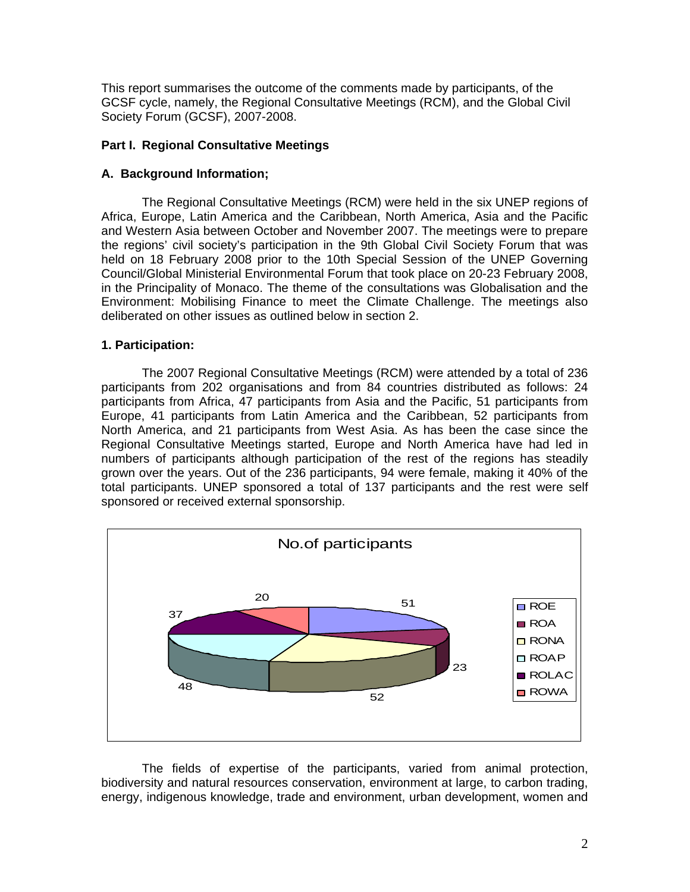This report summarises the outcome of the comments made by participants, of the GCSF cycle, namely, the Regional Consultative Meetings (RCM), and the Global Civil Society Forum (GCSF), 2007-2008.

### **Part I. Regional Consultative Meetings**

### **A. Background Information;**

 The Regional Consultative Meetings (RCM) were held in the six UNEP regions of Africa, Europe, Latin America and the Caribbean, North America, Asia and the Pacific and Western Asia between October and November 2007. The meetings were to prepare the regions' civil society's participation in the 9th Global Civil Society Forum that was held on 18 February 2008 prior to the 10th Special Session of the UNEP Governing Council/Global Ministerial Environmental Forum that took place on 20-23 February 2008, in the Principality of Monaco. The theme of the consultations was Globalisation and the Environment: Mobilising Finance to meet the Climate Challenge. The meetings also deliberated on other issues as outlined below in section 2.

#### **1. Participation:**

 The 2007 Regional Consultative Meetings (RCM) were attended by a total of 236 participants from 202 organisations and from 84 countries distributed as follows: 24 participants from Africa, 47 participants from Asia and the Pacific, 51 participants from Europe, 41 participants from Latin America and the Caribbean, 52 participants from North America, and 21 participants from West Asia. As has been the case since the Regional Consultative Meetings started, Europe and North America have had led in numbers of participants although participation of the rest of the regions has steadily grown over the years. Out of the 236 participants, 94 were female, making it 40% of the total participants. UNEP sponsored a total of 137 participants and the rest were self sponsored or received external sponsorship.



The fields of expertise of the participants, varied from animal protection, biodiversity and natural resources conservation, environment at large, to carbon trading, energy, indigenous knowledge, trade and environment, urban development, women and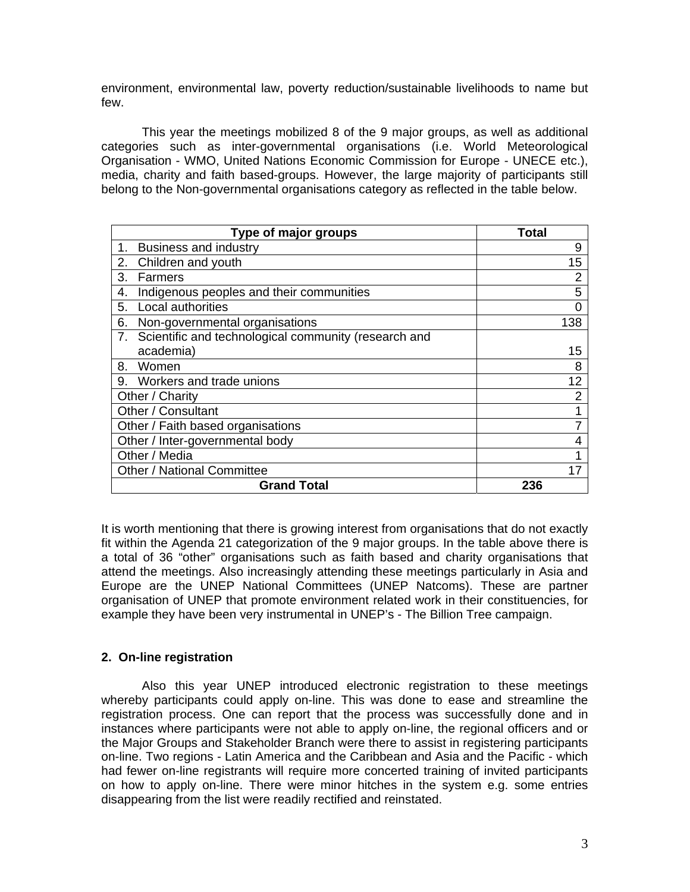environment, environmental law, poverty reduction/sustainable livelihoods to name but few.

This year the meetings mobilized 8 of the 9 major groups, as well as additional categories such as inter-governmental organisations (i.e. World Meteorological Organisation - WMO, United Nations Economic Commission for Europe - UNECE etc.), media, charity and faith based-groups. However, the large majority of participants still belong to the Non-governmental organisations category as reflected in the table below.

| Type of major groups                                       | <b>Total</b> |
|------------------------------------------------------------|--------------|
| <b>Business and industry</b><br>1.                         | 9            |
| 2.<br>Children and youth                                   | 15           |
| 3.<br>Farmers                                              | 2            |
| Indigenous peoples and their communities<br>4.             | 5            |
| Local authorities<br>5.                                    |              |
| 6.<br>Non-governmental organisations                       | 138          |
| Scientific and technological community (research and<br>7. |              |
| academia)                                                  | 15           |
| 8.<br>Women                                                | 8            |
| 9. Workers and trade unions                                | 12           |
| Other / Charity                                            | 2            |
| Other / Consultant                                         |              |
| Other / Faith based organisations                          |              |
| Other / Inter-governmental body                            |              |
| Other / Media                                              |              |
| <b>Other / National Committee</b>                          | 17           |
| <b>Grand Total</b>                                         | 236          |

It is worth mentioning that there is growing interest from organisations that do not exactly fit within the Agenda 21 categorization of the 9 major groups. In the table above there is a total of 36 "other" organisations such as faith based and charity organisations that attend the meetings. Also increasingly attending these meetings particularly in Asia and Europe are the UNEP National Committees (UNEP Natcoms). These are partner organisation of UNEP that promote environment related work in their constituencies, for example they have been very instrumental in UNEP's - The Billion Tree campaign.

# **2. On-line registration**

Also this year UNEP introduced electronic registration to these meetings whereby participants could apply on-line. This was done to ease and streamline the registration process. One can report that the process was successfully done and in instances where participants were not able to apply on-line, the regional officers and or the Major Groups and Stakeholder Branch were there to assist in registering participants on-line. Two regions - Latin America and the Caribbean and Asia and the Pacific - which had fewer on-line registrants will require more concerted training of invited participants on how to apply on-line. There were minor hitches in the system e.g. some entries disappearing from the list were readily rectified and reinstated.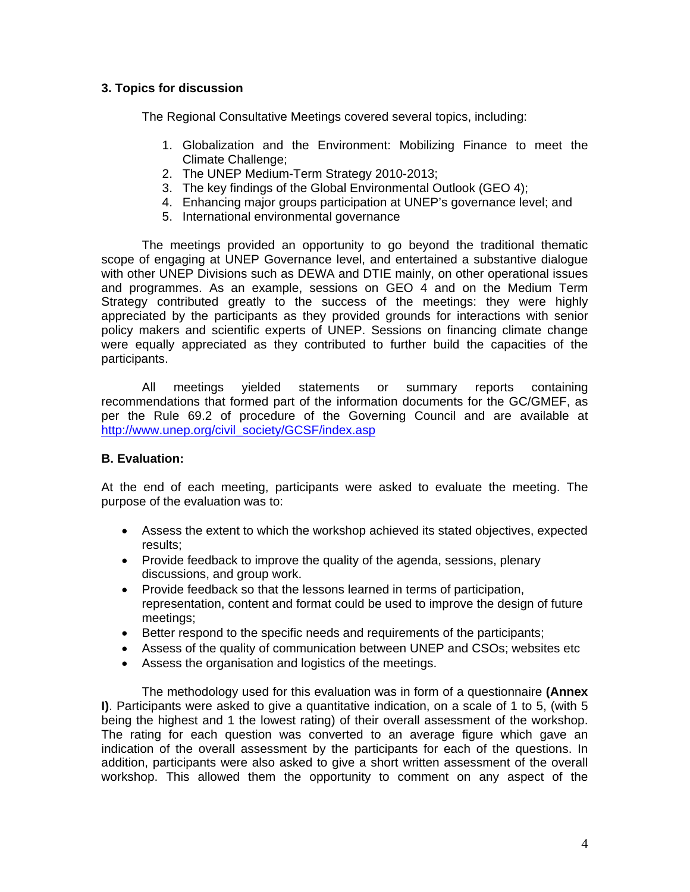# **3. Topics for discussion**

The Regional Consultative Meetings covered several topics, including:

- 1. Globalization and the Environment: Mobilizing Finance to meet the Climate Challenge;
- 2. The UNEP Medium-Term Strategy 2010-2013;
- 3. The key findings of the Global Environmental Outlook (GEO 4);
- 4. Enhancing major groups participation at UNEP's governance level; and
- 5. International environmental governance

The meetings provided an opportunity to go beyond the traditional thematic scope of engaging at UNEP Governance level, and entertained a substantive dialogue with other UNEP Divisions such as DEWA and DTIE mainly, on other operational issues and programmes. As an example, sessions on GEO 4 and on the Medium Term Strategy contributed greatly to the success of the meetings: they were highly appreciated by the participants as they provided grounds for interactions with senior policy makers and scientific experts of UNEP. Sessions on financing climate change were equally appreciated as they contributed to further build the capacities of the participants.

All meetings yielded statements or summary reports containing recommendations that formed part of the information documents for the GC/GMEF, as per the Rule 69.2 of procedure of the Governing Council and are available at http://www.unep.org/civil\_society/GCSF/index.asp

# **B. Evaluation:**

At the end of each meeting, participants were asked to evaluate the meeting. The purpose of the evaluation was to:

- Assess the extent to which the workshop achieved its stated objectives, expected results;
- Provide feedback to improve the quality of the agenda, sessions, plenary discussions, and group work.
- Provide feedback so that the lessons learned in terms of participation, representation, content and format could be used to improve the design of future meetings;
- Better respond to the specific needs and requirements of the participants;
- Assess of the quality of communication between UNEP and CSOs; websites etc
- Assess the organisation and logistics of the meetings.

The methodology used for this evaluation was in form of a questionnaire **(Annex I)**. Participants were asked to give a quantitative indication, on a scale of 1 to 5, (with 5 being the highest and 1 the lowest rating) of their overall assessment of the workshop. The rating for each question was converted to an average figure which gave an indication of the overall assessment by the participants for each of the questions. In addition, participants were also asked to give a short written assessment of the overall workshop. This allowed them the opportunity to comment on any aspect of the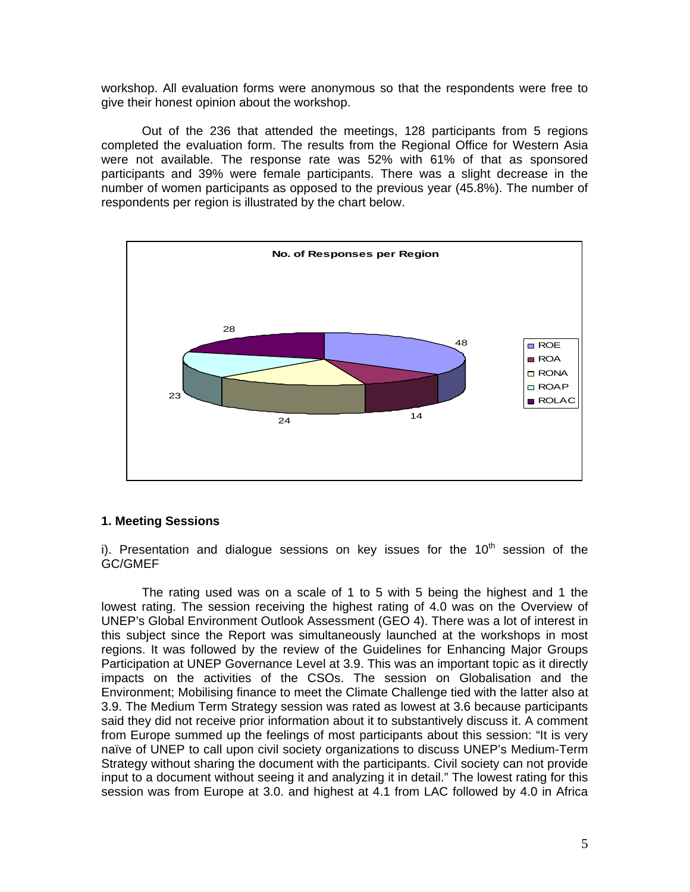workshop. All evaluation forms were anonymous so that the respondents were free to give their honest opinion about the workshop.

Out of the 236 that attended the meetings, 128 participants from 5 regions completed the evaluation form. The results from the Regional Office for Western Asia were not available. The response rate was 52% with 61% of that as sponsored participants and 39% were female participants. There was a slight decrease in the number of women participants as opposed to the previous year (45.8%). The number of respondents per region is illustrated by the chart below.



#### **1. Meeting Sessions**

i). Presentation and dialogue sessions on key issues for the  $10<sup>th</sup>$  session of the GC/GMEF

The rating used was on a scale of 1 to 5 with 5 being the highest and 1 the lowest rating. The session receiving the highest rating of 4.0 was on the Overview of UNEP's Global Environment Outlook Assessment (GEO 4). There was a lot of interest in this subject since the Report was simultaneously launched at the workshops in most regions. It was followed by the review of the Guidelines for Enhancing Major Groups Participation at UNEP Governance Level at 3.9. This was an important topic as it directly impacts on the activities of the CSOs. The session on Globalisation and the Environment; Mobilising finance to meet the Climate Challenge tied with the latter also at 3.9. The Medium Term Strategy session was rated as lowest at 3.6 because participants said they did not receive prior information about it to substantively discuss it. A comment from Europe summed up the feelings of most participants about this session: "It is very naïve of UNEP to call upon civil society organizations to discuss UNEP's Medium-Term Strategy without sharing the document with the participants. Civil society can not provide input to a document without seeing it and analyzing it in detail." The lowest rating for this session was from Europe at 3.0. and highest at 4.1 from LAC followed by 4.0 in Africa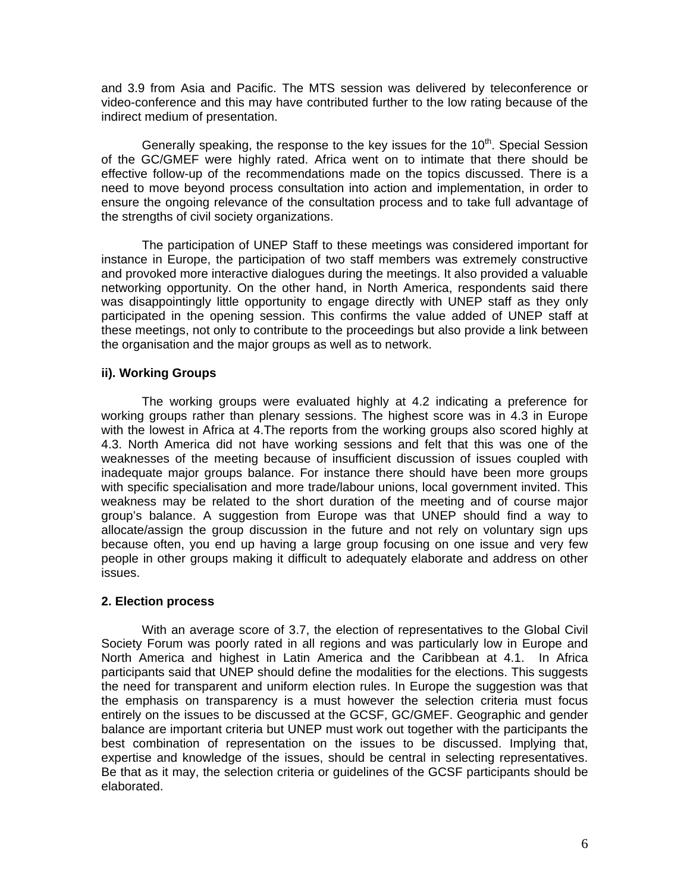and 3.9 from Asia and Pacific. The MTS session was delivered by teleconference or video-conference and this may have contributed further to the low rating because of the indirect medium of presentation.

Generally speaking, the response to the key issues for the  $10<sup>th</sup>$ . Special Session of the GC/GMEF were highly rated. Africa went on to intimate that there should be effective follow-up of the recommendations made on the topics discussed. There is a need to move beyond process consultation into action and implementation, in order to ensure the ongoing relevance of the consultation process and to take full advantage of the strengths of civil society organizations.

The participation of UNEP Staff to these meetings was considered important for instance in Europe, the participation of two staff members was extremely constructive and provoked more interactive dialogues during the meetings. It also provided a valuable networking opportunity. On the other hand, in North America, respondents said there was disappointingly little opportunity to engage directly with UNEP staff as they only participated in the opening session. This confirms the value added of UNEP staff at these meetings, not only to contribute to the proceedings but also provide a link between the organisation and the major groups as well as to network.

### **ii). Working Groups**

The working groups were evaluated highly at 4.2 indicating a preference for working groups rather than plenary sessions. The highest score was in 4.3 in Europe with the lowest in Africa at 4.The reports from the working groups also scored highly at 4.3. North America did not have working sessions and felt that this was one of the weaknesses of the meeting because of insufficient discussion of issues coupled with inadequate major groups balance. For instance there should have been more groups with specific specialisation and more trade/labour unions, local government invited. This weakness may be related to the short duration of the meeting and of course major group's balance. A suggestion from Europe was that UNEP should find a way to allocate/assign the group discussion in the future and not rely on voluntary sign ups because often, you end up having a large group focusing on one issue and very few people in other groups making it difficult to adequately elaborate and address on other issues.

# **2. Election process**

With an average score of 3.7, the election of representatives to the Global Civil Society Forum was poorly rated in all regions and was particularly low in Europe and North America and highest in Latin America and the Caribbean at 4.1. In Africa participants said that UNEP should define the modalities for the elections. This suggests the need for transparent and uniform election rules. In Europe the suggestion was that the emphasis on transparency is a must however the selection criteria must focus entirely on the issues to be discussed at the GCSF, GC/GMEF. Geographic and gender balance are important criteria but UNEP must work out together with the participants the best combination of representation on the issues to be discussed. Implying that, expertise and knowledge of the issues, should be central in selecting representatives. Be that as it may, the selection criteria or guidelines of the GCSF participants should be elaborated.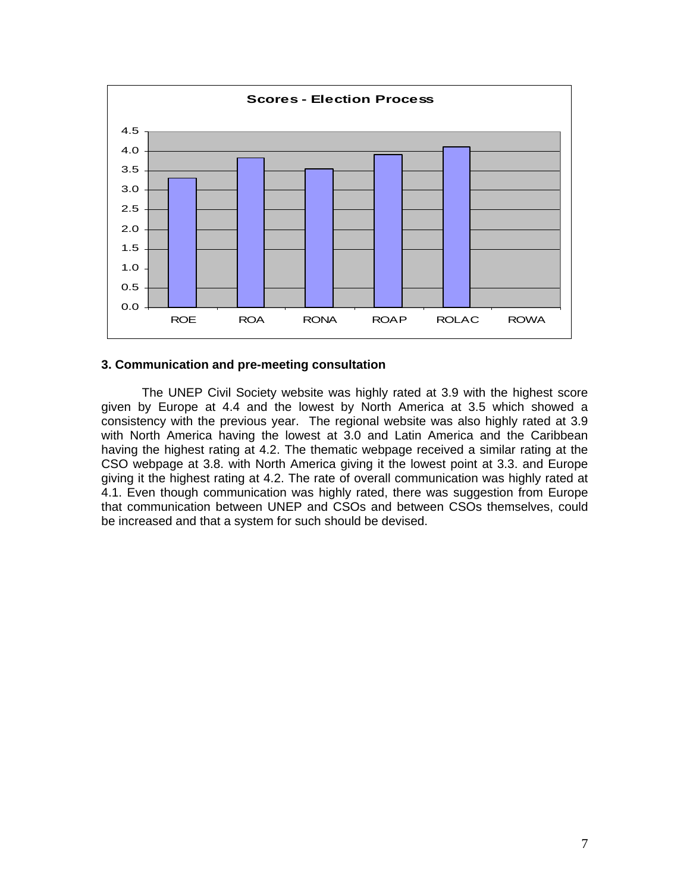

#### **3. Communication and pre-meeting consultation**

The UNEP Civil Society website was highly rated at 3.9 with the highest score given by Europe at 4.4 and the lowest by North America at 3.5 which showed a consistency with the previous year. The regional website was also highly rated at 3.9 with North America having the lowest at 3.0 and Latin America and the Caribbean having the highest rating at 4.2. The thematic webpage received a similar rating at the CSO webpage at 3.8. with North America giving it the lowest point at 3.3. and Europe giving it the highest rating at 4.2. The rate of overall communication was highly rated at 4.1. Even though communication was highly rated, there was suggestion from Europe that communication between UNEP and CSOs and between CSOs themselves, could be increased and that a system for such should be devised.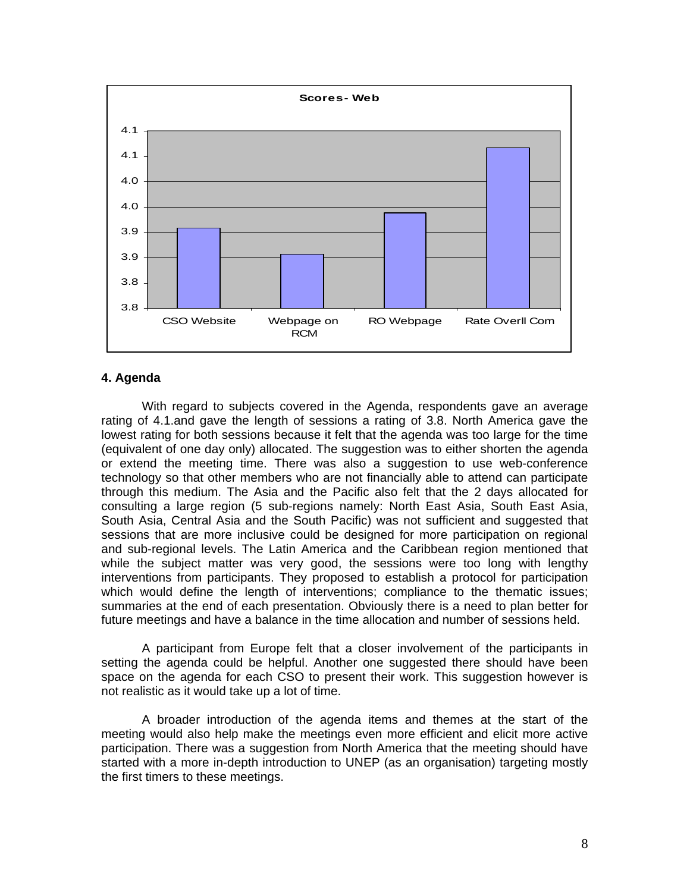

### **4. Agenda**

With regard to subjects covered in the Agenda, respondents gave an average rating of 4.1.and gave the length of sessions a rating of 3.8. North America gave the lowest rating for both sessions because it felt that the agenda was too large for the time (equivalent of one day only) allocated. The suggestion was to either shorten the agenda or extend the meeting time. There was also a suggestion to use web-conference technology so that other members who are not financially able to attend can participate through this medium. The Asia and the Pacific also felt that the 2 days allocated for consulting a large region (5 sub-regions namely: North East Asia, South East Asia, South Asia, Central Asia and the South Pacific) was not sufficient and suggested that sessions that are more inclusive could be designed for more participation on regional and sub-regional levels. The Latin America and the Caribbean region mentioned that while the subject matter was very good, the sessions were too long with lengthy interventions from participants. They proposed to establish a protocol for participation which would define the length of interventions; compliance to the thematic issues; summaries at the end of each presentation. Obviously there is a need to plan better for future meetings and have a balance in the time allocation and number of sessions held.

A participant from Europe felt that a closer involvement of the participants in setting the agenda could be helpful. Another one suggested there should have been space on the agenda for each CSO to present their work. This suggestion however is not realistic as it would take up a lot of time.

A broader introduction of the agenda items and themes at the start of the meeting would also help make the meetings even more efficient and elicit more active participation. There was a suggestion from North America that the meeting should have started with a more in-depth introduction to UNEP (as an organisation) targeting mostly the first timers to these meetings.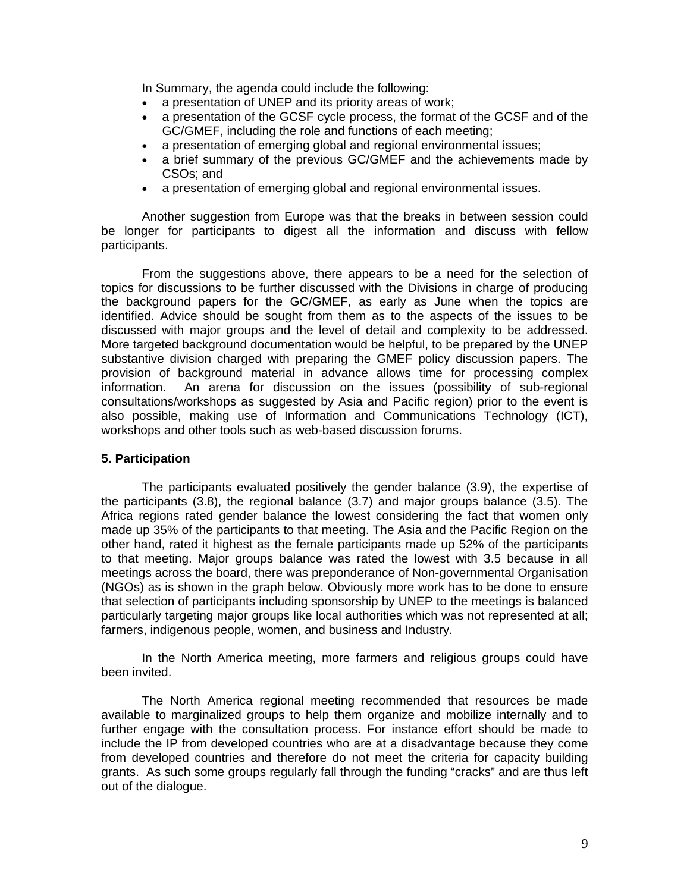In Summary, the agenda could include the following:

- a presentation of UNEP and its priority areas of work;
- a presentation of the GCSF cycle process, the format of the GCSF and of the GC/GMEF, including the role and functions of each meeting;
- a presentation of emerging global and regional environmental issues;
- a brief summary of the previous GC/GMEF and the achievements made by CSOs; and
- a presentation of emerging global and regional environmental issues.

Another suggestion from Europe was that the breaks in between session could be longer for participants to digest all the information and discuss with fellow participants.

From the suggestions above, there appears to be a need for the selection of topics for discussions to be further discussed with the Divisions in charge of producing the background papers for the GC/GMEF, as early as June when the topics are identified. Advice should be sought from them as to the aspects of the issues to be discussed with major groups and the level of detail and complexity to be addressed. More targeted background documentation would be helpful, to be prepared by the UNEP substantive division charged with preparing the GMEF policy discussion papers. The provision of background material in advance allows time for processing complex information. An arena for discussion on the issues (possibility of sub-regional consultations/workshops as suggested by Asia and Pacific region) prior to the event is also possible, making use of Information and Communications Technology (ICT), workshops and other tools such as web-based discussion forums.

# **5. Participation**

The participants evaluated positively the gender balance (3.9), the expertise of the participants (3.8), the regional balance (3.7) and major groups balance (3.5). The Africa regions rated gender balance the lowest considering the fact that women only made up 35% of the participants to that meeting. The Asia and the Pacific Region on the other hand, rated it highest as the female participants made up 52% of the participants to that meeting. Major groups balance was rated the lowest with 3.5 because in all meetings across the board, there was preponderance of Non-governmental Organisation (NGOs) as is shown in the graph below. Obviously more work has to be done to ensure that selection of participants including sponsorship by UNEP to the meetings is balanced particularly targeting major groups like local authorities which was not represented at all; farmers, indigenous people, women, and business and Industry.

In the North America meeting, more farmers and religious groups could have been invited.

The North America regional meeting recommended that resources be made available to marginalized groups to help them organize and mobilize internally and to further engage with the consultation process. For instance effort should be made to include the IP from developed countries who are at a disadvantage because they come from developed countries and therefore do not meet the criteria for capacity building grants. As such some groups regularly fall through the funding "cracks" and are thus left out of the dialogue.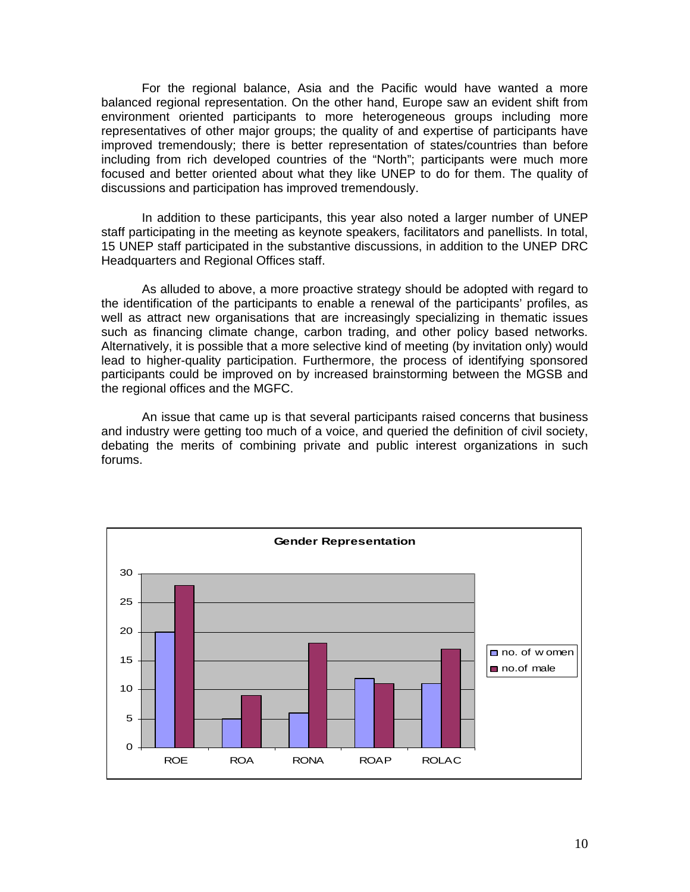For the regional balance, Asia and the Pacific would have wanted a more balanced regional representation. On the other hand, Europe saw an evident shift from environment oriented participants to more heterogeneous groups including more representatives of other major groups; the quality of and expertise of participants have improved tremendously; there is better representation of states/countries than before including from rich developed countries of the "North"; participants were much more focused and better oriented about what they like UNEP to do for them. The quality of discussions and participation has improved tremendously.

In addition to these participants, this year also noted a larger number of UNEP staff participating in the meeting as keynote speakers, facilitators and panellists. In total, 15 UNEP staff participated in the substantive discussions, in addition to the UNEP DRC Headquarters and Regional Offices staff.

As alluded to above, a more proactive strategy should be adopted with regard to the identification of the participants to enable a renewal of the participants' profiles, as well as attract new organisations that are increasingly specializing in thematic issues such as financing climate change, carbon trading, and other policy based networks. Alternatively, it is possible that a more selective kind of meeting (by invitation only) would lead to higher-quality participation. Furthermore, the process of identifying sponsored participants could be improved on by increased brainstorming between the MGSB and the regional offices and the MGFC.

An issue that came up is that several participants raised concerns that business and industry were getting too much of a voice, and queried the definition of civil society, debating the merits of combining private and public interest organizations in such forums.

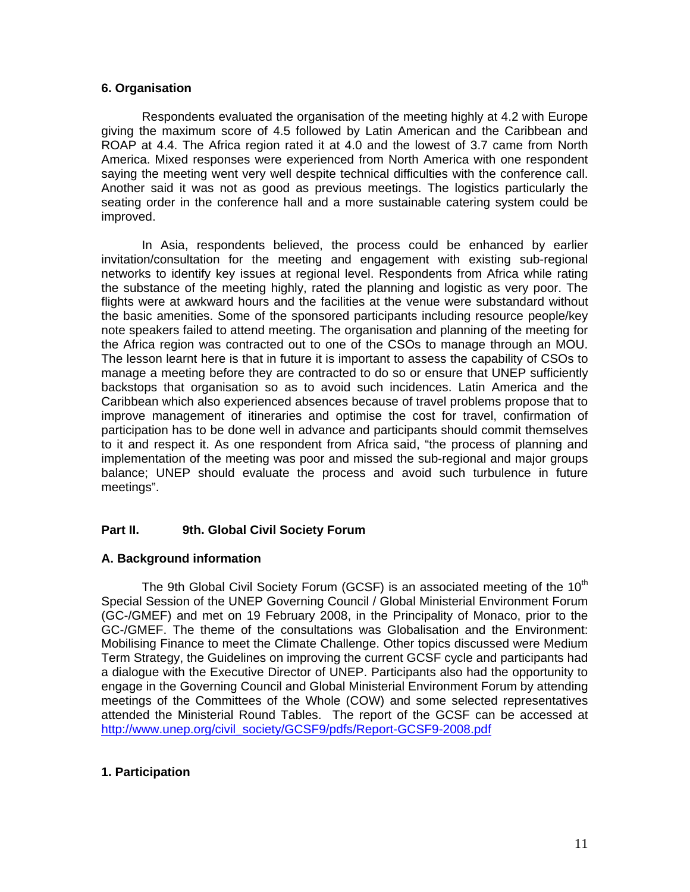### **6. Organisation**

Respondents evaluated the organisation of the meeting highly at 4.2 with Europe giving the maximum score of 4.5 followed by Latin American and the Caribbean and ROAP at 4.4. The Africa region rated it at 4.0 and the lowest of 3.7 came from North America. Mixed responses were experienced from North America with one respondent saying the meeting went very well despite technical difficulties with the conference call. Another said it was not as good as previous meetings. The logistics particularly the seating order in the conference hall and a more sustainable catering system could be improved.

In Asia, respondents believed, the process could be enhanced by earlier invitation/consultation for the meeting and engagement with existing sub-regional networks to identify key issues at regional level. Respondents from Africa while rating the substance of the meeting highly, rated the planning and logistic as very poor. The flights were at awkward hours and the facilities at the venue were substandard without the basic amenities. Some of the sponsored participants including resource people/key note speakers failed to attend meeting. The organisation and planning of the meeting for the Africa region was contracted out to one of the CSOs to manage through an MOU. The lesson learnt here is that in future it is important to assess the capability of CSOs to manage a meeting before they are contracted to do so or ensure that UNEP sufficiently backstops that organisation so as to avoid such incidences. Latin America and the Caribbean which also experienced absences because of travel problems propose that to improve management of itineraries and optimise the cost for travel, confirmation of participation has to be done well in advance and participants should commit themselves to it and respect it. As one respondent from Africa said, "the process of planning and implementation of the meeting was poor and missed the sub-regional and major groups balance; UNEP should evaluate the process and avoid such turbulence in future meetings".

# **Part II. 9th. Global Civil Society Forum**

# **A. Background information**

The 9th Global Civil Society Forum (GCSF) is an associated meeting of the  $10<sup>th</sup>$ Special Session of the UNEP Governing Council / Global Ministerial Environment Forum (GC-/GMEF) and met on 19 February 2008, in the Principality of Monaco, prior to the GC-/GMEF. The theme of the consultations was Globalisation and the Environment: Mobilising Finance to meet the Climate Challenge. Other topics discussed were Medium Term Strategy, the Guidelines on improving the current GCSF cycle and participants had a dialogue with the Executive Director of UNEP. Participants also had the opportunity to engage in the Governing Council and Global Ministerial Environment Forum by attending meetings of the Committees of the Whole (COW) and some selected representatives attended the Ministerial Round Tables. The report of the GCSF can be accessed at http://www.unep.org/civil\_society/GCSF9/pdfs/Report-GCSF9-2008.pdf

# **1. Participation**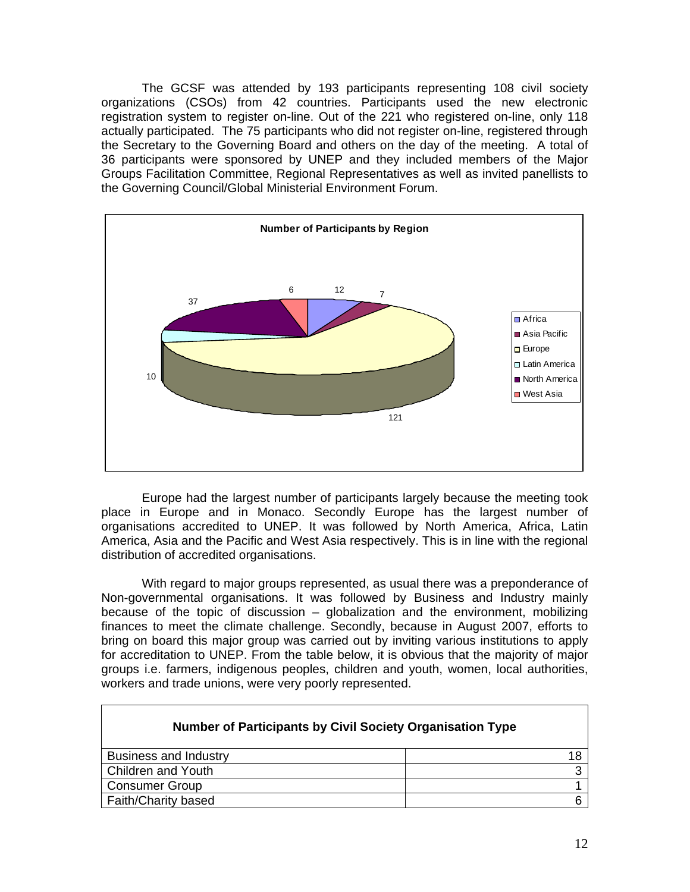The GCSF was attended by 193 participants representing 108 civil society organizations (CSOs) from 42 countries. Participants used the new electronic registration system to register on-line. Out of the 221 who registered on-line, only 118 actually participated. The 75 participants who did not register on-line, registered through the Secretary to the Governing Board and others on the day of the meeting. A total of 36 participants were sponsored by UNEP and they included members of the Major Groups Facilitation Committee, Regional Representatives as well as invited panellists to the Governing Council/Global Ministerial Environment Forum.



Europe had the largest number of participants largely because the meeting took place in Europe and in Monaco. Secondly Europe has the largest number of organisations accredited to UNEP. It was followed by North America, Africa, Latin America, Asia and the Pacific and West Asia respectively. This is in line with the regional distribution of accredited organisations.

With regard to major groups represented, as usual there was a preponderance of Non-governmental organisations. It was followed by Business and Industry mainly because of the topic of discussion – globalization and the environment, mobilizing finances to meet the climate challenge. Secondly, because in August 2007, efforts to bring on board this major group was carried out by inviting various institutions to apply for accreditation to UNEP. From the table below, it is obvious that the majority of major groups i.e. farmers, indigenous peoples, children and youth, women, local authorities, workers and trade unions, were very poorly represented.

| <b>Number of Participants by Civil Society Organisation Type</b> |  |
|------------------------------------------------------------------|--|
| <b>Business and Industry</b>                                     |  |
| <b>Children and Youth</b>                                        |  |
| <b>Consumer Group</b>                                            |  |
| Faith/Charity based                                              |  |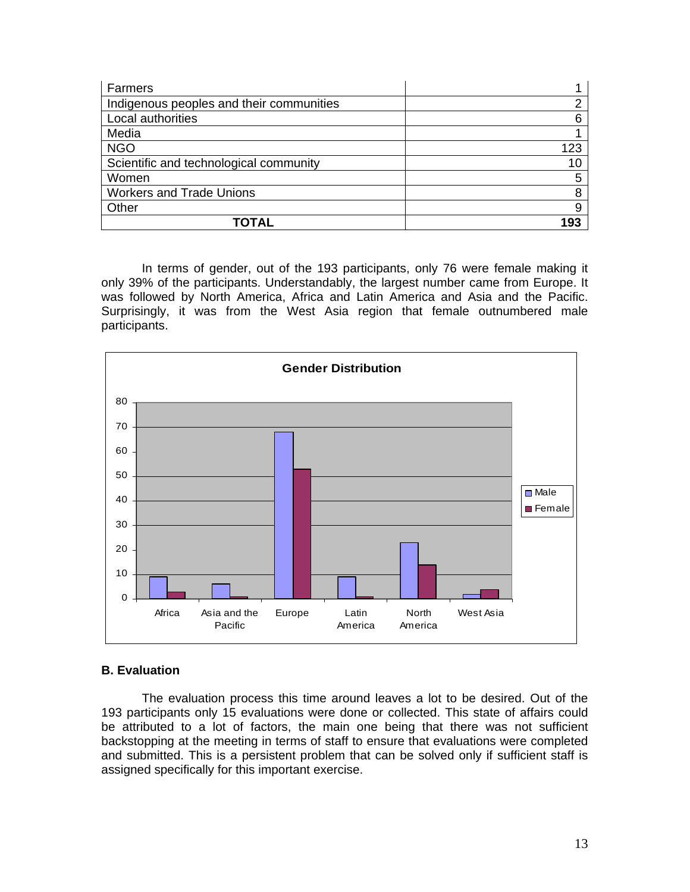| Farmers                                  |     |
|------------------------------------------|-----|
| Indigenous peoples and their communities | ⌒   |
| Local authorities                        | ิค  |
| Media                                    |     |
| <b>NGO</b>                               | 123 |
| Scientific and technological community   | 10  |
| Women                                    | 5   |
| <b>Workers and Trade Unions</b>          | 8   |
| Other                                    |     |
| TOTAL                                    | 193 |

In terms of gender, out of the 193 participants, only 76 were female making it only 39% of the participants. Understandably, the largest number came from Europe. It was followed by North America, Africa and Latin America and Asia and the Pacific. Surprisingly, it was from the West Asia region that female outnumbered male participants.



#### **B. Evaluation**

The evaluation process this time around leaves a lot to be desired. Out of the 193 participants only 15 evaluations were done or collected. This state of affairs could be attributed to a lot of factors, the main one being that there was not sufficient backstopping at the meeting in terms of staff to ensure that evaluations were completed and submitted. This is a persistent problem that can be solved only if sufficient staff is assigned specifically for this important exercise.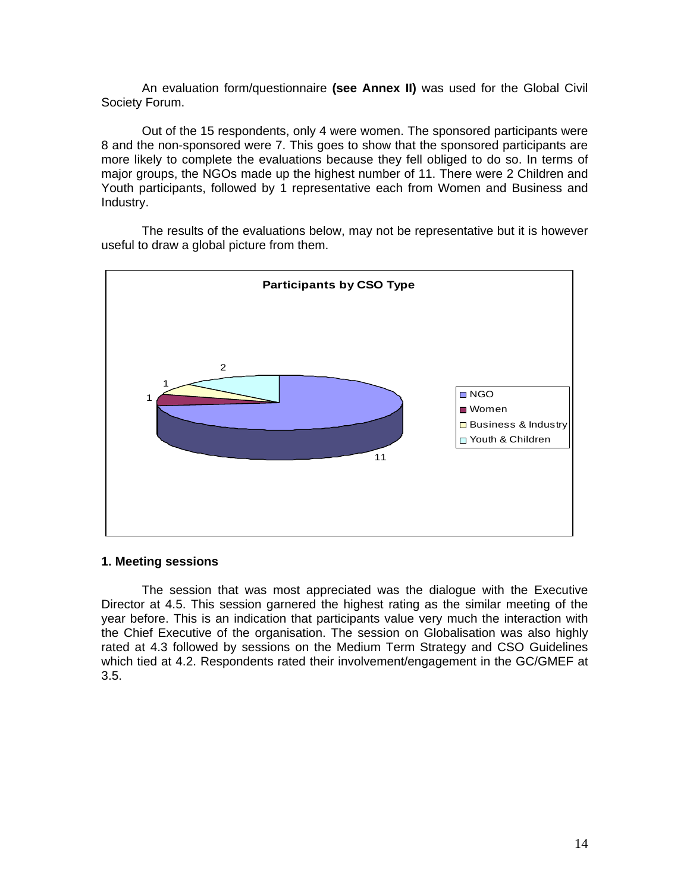An evaluation form/questionnaire **(see Annex II)** was used for the Global Civil Society Forum.

Out of the 15 respondents, only 4 were women. The sponsored participants were 8 and the non-sponsored were 7. This goes to show that the sponsored participants are more likely to complete the evaluations because they fell obliged to do so. In terms of major groups, the NGOs made up the highest number of 11. There were 2 Children and Youth participants, followed by 1 representative each from Women and Business and Industry.

The results of the evaluations below, may not be representative but it is however useful to draw a global picture from them.



#### **1. Meeting sessions**

The session that was most appreciated was the dialogue with the Executive Director at 4.5. This session garnered the highest rating as the similar meeting of the year before. This is an indication that participants value very much the interaction with the Chief Executive of the organisation. The session on Globalisation was also highly rated at 4.3 followed by sessions on the Medium Term Strategy and CSO Guidelines which tied at 4.2. Respondents rated their involvement/engagement in the GC/GMEF at 3.5.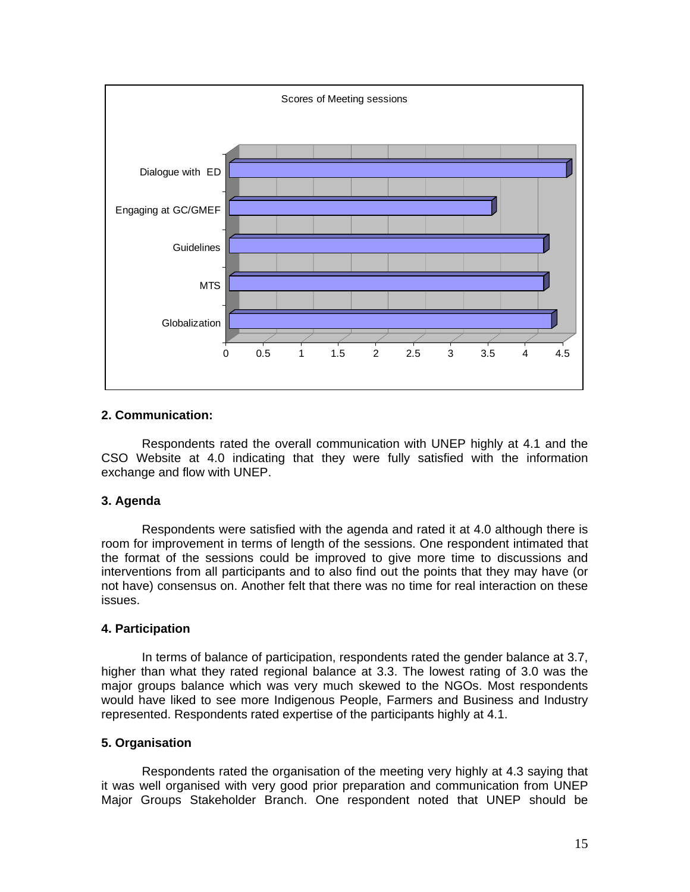

# **2. Communication:**

Respondents rated the overall communication with UNEP highly at 4.1 and the CSO Website at 4.0 indicating that they were fully satisfied with the information exchange and flow with UNEP.

# **3. Agenda**

Respondents were satisfied with the agenda and rated it at 4.0 although there is room for improvement in terms of length of the sessions. One respondent intimated that the format of the sessions could be improved to give more time to discussions and interventions from all participants and to also find out the points that they may have (or not have) consensus on. Another felt that there was no time for real interaction on these issues.

# **4. Participation**

In terms of balance of participation, respondents rated the gender balance at 3.7, higher than what they rated regional balance at 3.3. The lowest rating of 3.0 was the major groups balance which was very much skewed to the NGOs. Most respondents would have liked to see more Indigenous People, Farmers and Business and Industry represented. Respondents rated expertise of the participants highly at 4.1.

# **5. Organisation**

Respondents rated the organisation of the meeting very highly at 4.3 saying that it was well organised with very good prior preparation and communication from UNEP Major Groups Stakeholder Branch. One respondent noted that UNEP should be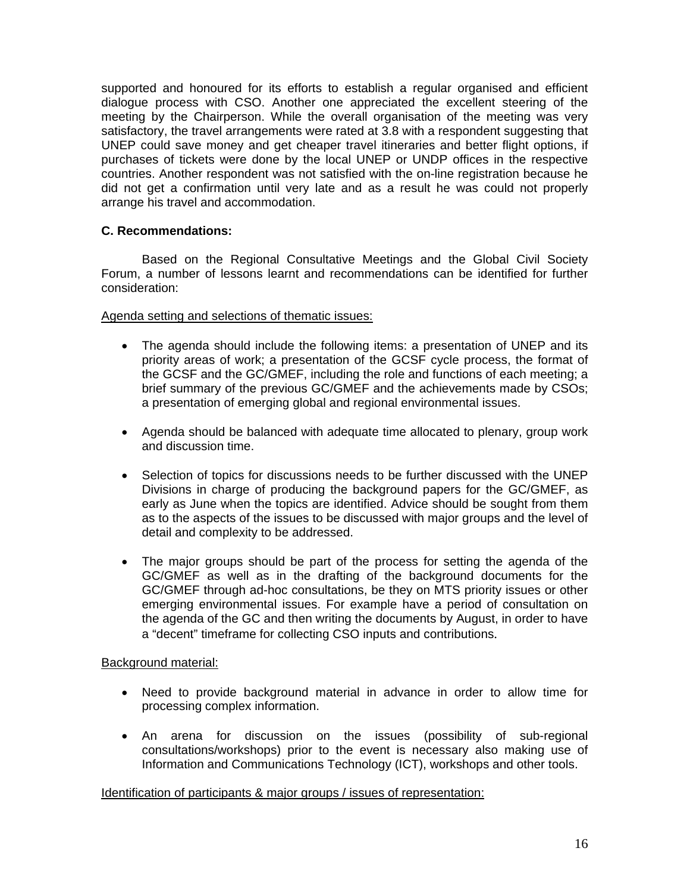supported and honoured for its efforts to establish a regular organised and efficient dialogue process with CSO. Another one appreciated the excellent steering of the meeting by the Chairperson. While the overall organisation of the meeting was very satisfactory, the travel arrangements were rated at 3.8 with a respondent suggesting that UNEP could save money and get cheaper travel itineraries and better flight options, if purchases of tickets were done by the local UNEP or UNDP offices in the respective countries. Another respondent was not satisfied with the on-line registration because he did not get a confirmation until very late and as a result he was could not properly arrange his travel and accommodation.

# **C. Recommendations:**

Based on the Regional Consultative Meetings and the Global Civil Society Forum, a number of lessons learnt and recommendations can be identified for further consideration:

# Agenda setting and selections of thematic issues:

- The agenda should include the following items: a presentation of UNEP and its priority areas of work; a presentation of the GCSF cycle process, the format of the GCSF and the GC/GMEF, including the role and functions of each meeting; a brief summary of the previous GC/GMEF and the achievements made by CSOs; a presentation of emerging global and regional environmental issues.
- Agenda should be balanced with adequate time allocated to plenary, group work and discussion time.
- Selection of topics for discussions needs to be further discussed with the UNEP Divisions in charge of producing the background papers for the GC/GMEF, as early as June when the topics are identified. Advice should be sought from them as to the aspects of the issues to be discussed with major groups and the level of detail and complexity to be addressed.
- The major groups should be part of the process for setting the agenda of the GC/GMEF as well as in the drafting of the background documents for the GC/GMEF through ad-hoc consultations, be they on MTS priority issues or other emerging environmental issues. For example have a period of consultation on the agenda of the GC and then writing the documents by August, in order to have a "decent" timeframe for collecting CSO inputs and contributions.

# Background material:

- Need to provide background material in advance in order to allow time for processing complex information.
- An arena for discussion on the issues (possibility of sub-regional consultations/workshops) prior to the event is necessary also making use of Information and Communications Technology (ICT), workshops and other tools.

# Identification of participants & major groups / issues of representation: